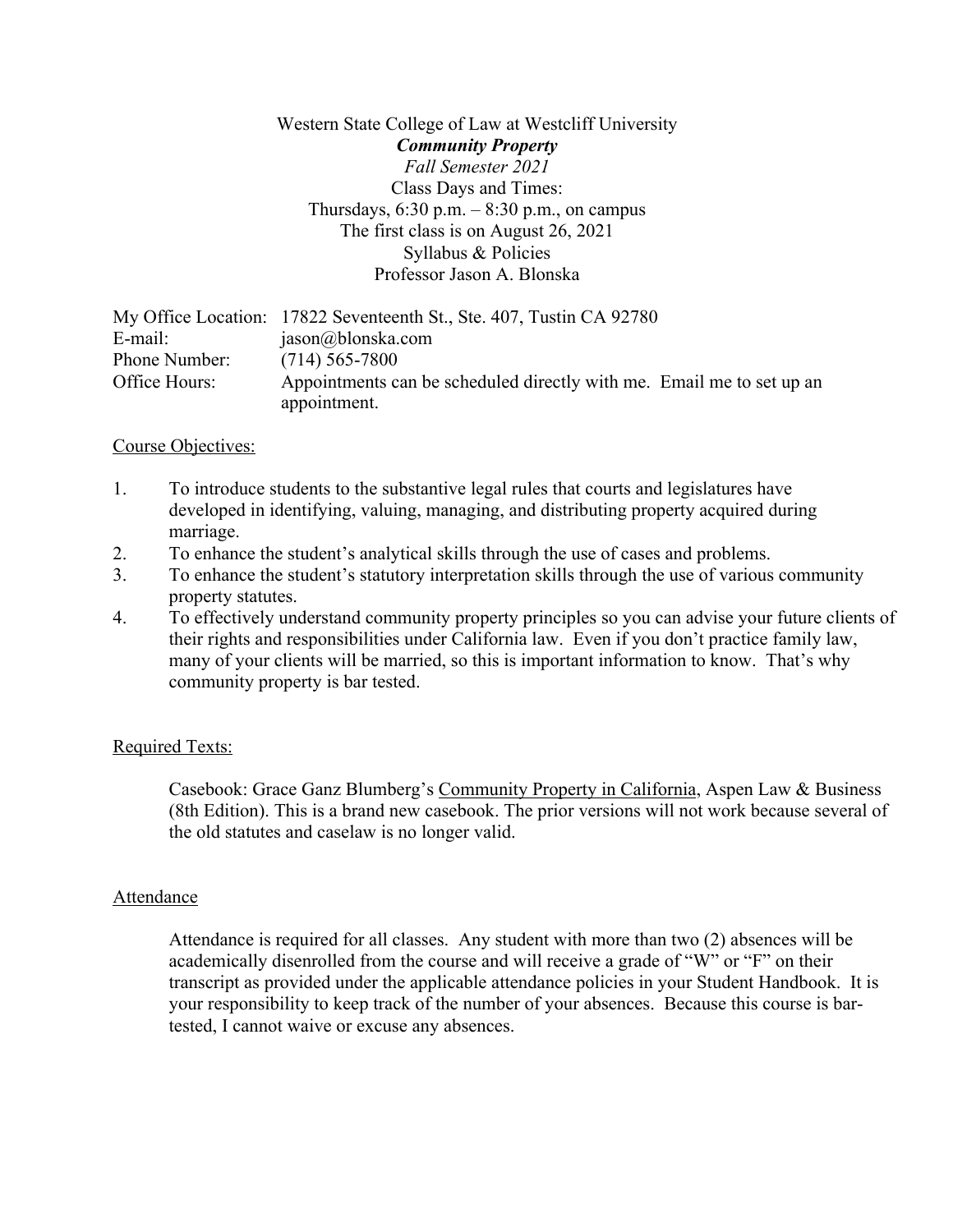## Western State College of Law at Westcliff University *Community Property Fall Semester 2021* Class Days and Times: Thursdays,  $6:30$  p.m.  $-8:30$  p.m., on campus The first class is on August 26, 2021 Syllabus & Policies Professor Jason A. Blonska

|               | My Office Location: 17822 Seventeenth St., Ste. 407, Tustin CA 92780  |
|---------------|-----------------------------------------------------------------------|
| E-mail:       | jason@blonska.com                                                     |
| Phone Number: | $(714)$ 565-7800                                                      |
| Office Hours: | Appointments can be scheduled directly with me. Email me to set up an |
|               | appointment.                                                          |

## Course Objectives:

- 1. To introduce students to the substantive legal rules that courts and legislatures have developed in identifying, valuing, managing, and distributing property acquired during marriage.
- 2. To enhance the student's analytical skills through the use of cases and problems.
- 3. To enhance the student's statutory interpretation skills through the use of various community property statutes.
- 4. To effectively understand community property principles so you can advise your future clients of their rights and responsibilities under California law. Even if you don't practice family law, many of your clients will be married, so this is important information to know. That's why community property is bar tested.

## Required Texts:

Casebook: Grace Ganz Blumberg's Community Property in California, Aspen Law & Business (8th Edition). This is a brand new casebook. The prior versions will not work because several of the old statutes and caselaw is no longer valid.

## Attendance

Attendance is required for all classes. Any student with more than two (2) absences will be academically disenrolled from the course and will receive a grade of "W" or "F" on their transcript as provided under the applicable attendance policies in your Student Handbook. It is your responsibility to keep track of the number of your absences. Because this course is bartested, I cannot waive or excuse any absences.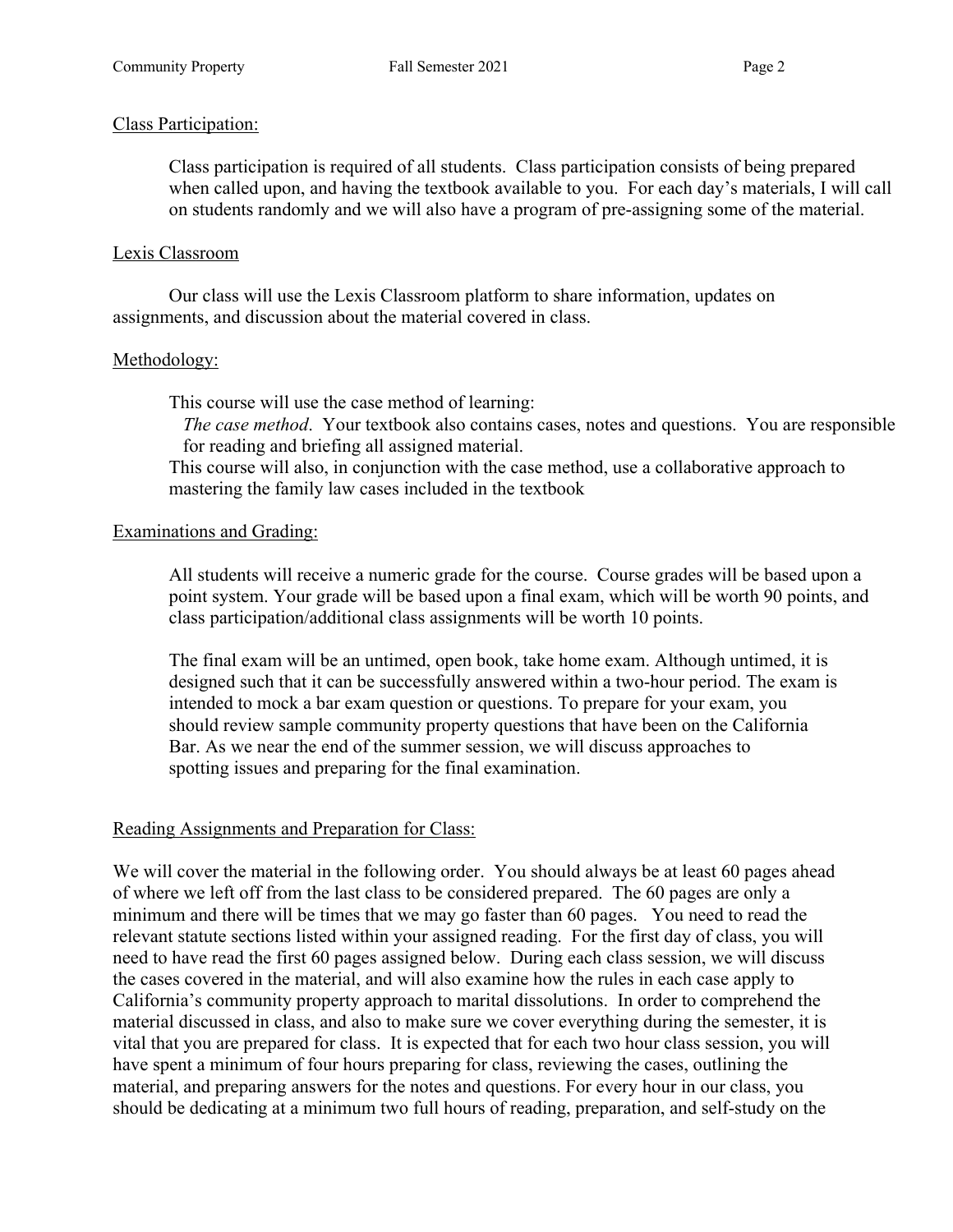## Class Participation:

Class participation is required of all students. Class participation consists of being prepared when called upon, and having the textbook available to you. For each day's materials, I will call on students randomly and we will also have a program of pre-assigning some of the material.

## Lexis Classroom

Our class will use the Lexis Classroom platform to share information, updates on assignments, and discussion about the material covered in class.

## Methodology:

This course will use the case method of learning:

*The case method*. Your textbook also contains cases, notes and questions. You are responsible for reading and briefing all assigned material.

This course will also, in conjunction with the case method, use a collaborative approach to mastering the family law cases included in the textbook

## Examinations and Grading:

All students will receive a numeric grade for the course. Course grades will be based upon a point system. Your grade will be based upon a final exam, which will be worth 90 points, and class participation/additional class assignments will be worth 10 points.

The final exam will be an untimed, open book, take home exam. Although untimed, it is designed such that it can be successfully answered within a two-hour period. The exam is intended to mock a bar exam question or questions. To prepare for your exam, you should review sample community property questions that have been on the California Bar. As we near the end of the summer session, we will discuss approaches to spotting issues and preparing for the final examination.

# Reading Assignments and Preparation for Class:

We will cover the material in the following order. You should always be at least 60 pages ahead of where we left off from the last class to be considered prepared. The 60 pages are only a minimum and there will be times that we may go faster than 60 pages. You need to read the relevant statute sections listed within your assigned reading. For the first day of class, you will need to have read the first 60 pages assigned below. During each class session, we will discuss the cases covered in the material, and will also examine how the rules in each case apply to California's community property approach to marital dissolutions. In order to comprehend the material discussed in class, and also to make sure we cover everything during the semester, it is vital that you are prepared for class. It is expected that for each two hour class session, you will have spent a minimum of four hours preparing for class, reviewing the cases, outlining the material, and preparing answers for the notes and questions. For every hour in our class, you should be dedicating at a minimum two full hours of reading, preparation, and self-study on the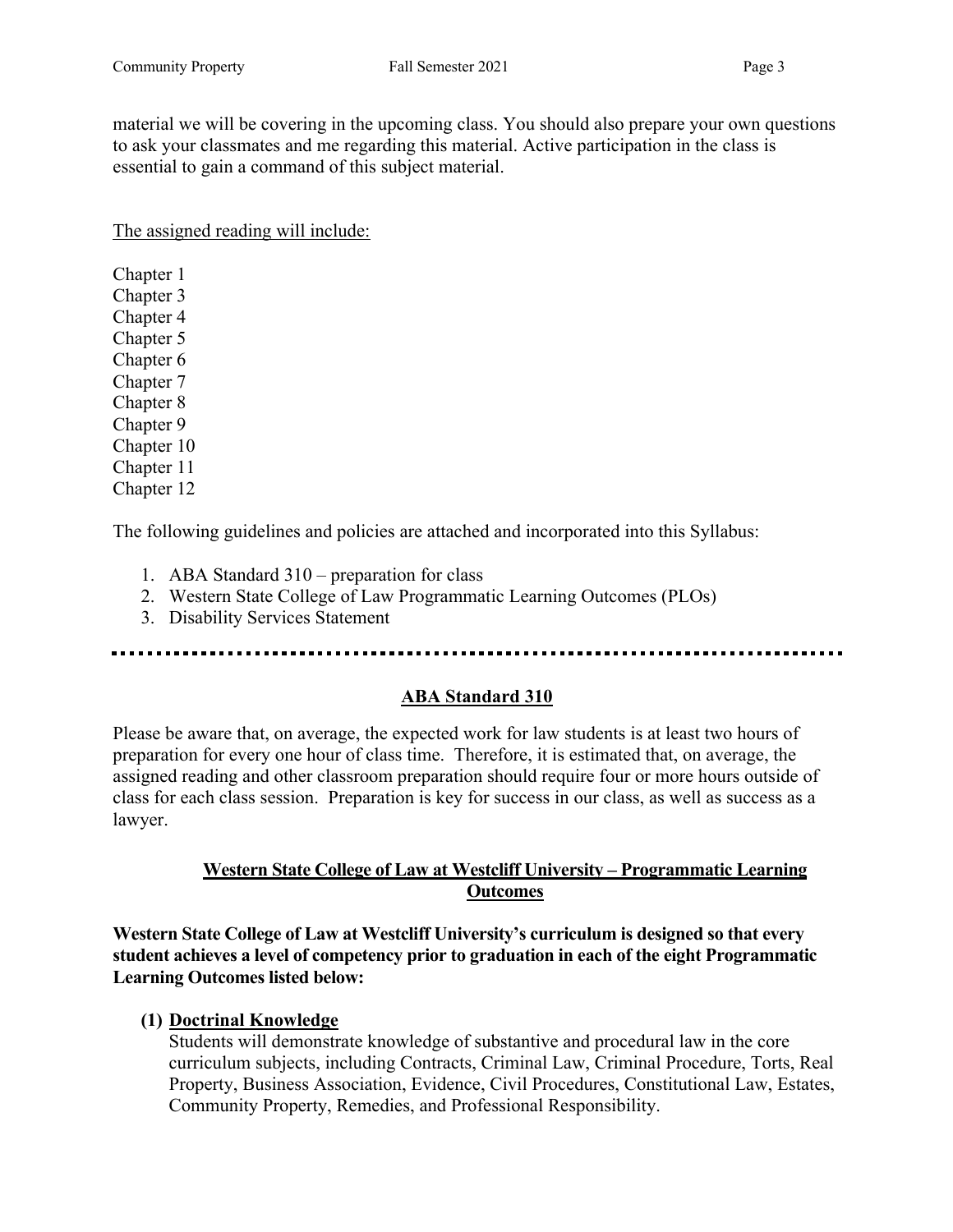material we will be covering in the upcoming class. You should also prepare your own questions to ask your classmates and me regarding this material. Active participation in the class is essential to gain a command of this subject material.

The assigned reading will include:

Chapter 1 Chapter 3 Chapter 4 Chapter 5 Chapter 6 Chapter 7 Chapter 8 Chapter 9 Chapter 10 Chapter 11 Chapter 12

The following guidelines and policies are attached and incorporated into this Syllabus:

- 1. ABA Standard 310 preparation for class
- 2. Western State College of Law Programmatic Learning Outcomes (PLOs)
- 3. Disability Services Statement

## **ABA Standard 310**

Please be aware that, on average, the expected work for law students is at least two hours of preparation for every one hour of class time. Therefore, it is estimated that, on average, the assigned reading and other classroom preparation should require four or more hours outside of class for each class session. Preparation is key for success in our class, as well as success as a lawyer.

## **Western State College of Law at Westcliff University – Programmatic Learning Outcomes**

**Western State College of Law at Westcliff University's curriculum is designed so that every student achieves a level of competency prior to graduation in each of the eight Programmatic Learning Outcomes listed below:**

# **(1) Doctrinal Knowledge**

Students will demonstrate knowledge of substantive and procedural law in the core curriculum subjects, including Contracts, Criminal Law, Criminal Procedure, Torts, Real Property, Business Association, Evidence, Civil Procedures, Constitutional Law, Estates, Community Property, Remedies, and Professional Responsibility.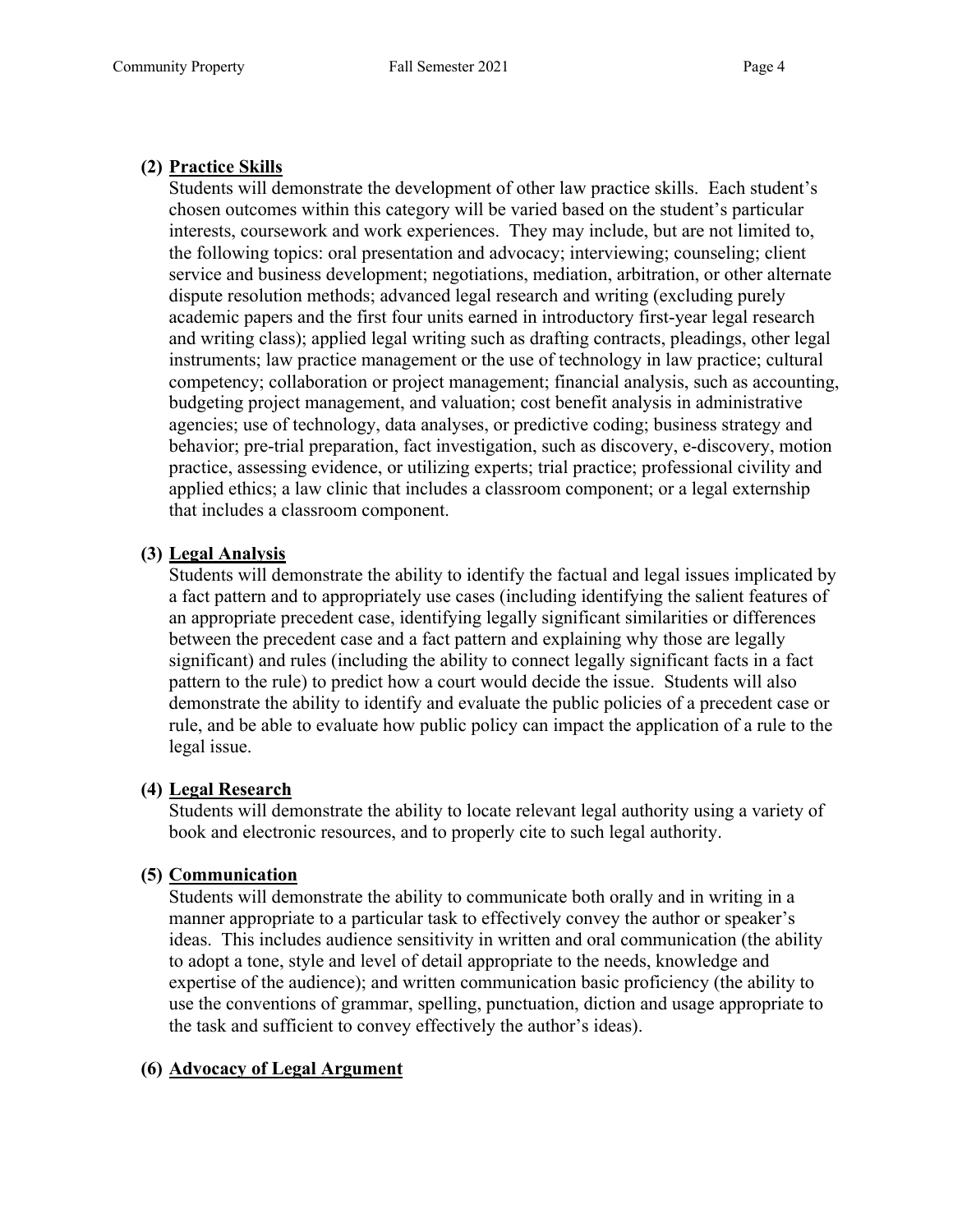## **(2) Practice Skills**

Students will demonstrate the development of other law practice skills. Each student's chosen outcomes within this category will be varied based on the student's particular interests, coursework and work experiences. They may include, but are not limited to, the following topics: oral presentation and advocacy; interviewing; counseling; client service and business development; negotiations, mediation, arbitration, or other alternate dispute resolution methods; advanced legal research and writing (excluding purely academic papers and the first four units earned in introductory first-year legal research and writing class); applied legal writing such as drafting contracts, pleadings, other legal instruments; law practice management or the use of technology in law practice; cultural competency; collaboration or project management; financial analysis, such as accounting, budgeting project management, and valuation; cost benefit analysis in administrative agencies; use of technology, data analyses, or predictive coding; business strategy and behavior; pre-trial preparation, fact investigation, such as discovery, e-discovery, motion practice, assessing evidence, or utilizing experts; trial practice; professional civility and applied ethics; a law clinic that includes a classroom component; or a legal externship that includes a classroom component.

## **(3) Legal Analysis**

Students will demonstrate the ability to identify the factual and legal issues implicated by a fact pattern and to appropriately use cases (including identifying the salient features of an appropriate precedent case, identifying legally significant similarities or differences between the precedent case and a fact pattern and explaining why those are legally significant) and rules (including the ability to connect legally significant facts in a fact pattern to the rule) to predict how a court would decide the issue. Students will also demonstrate the ability to identify and evaluate the public policies of a precedent case or rule, and be able to evaluate how public policy can impact the application of a rule to the legal issue.

## **(4) Legal Research**

Students will demonstrate the ability to locate relevant legal authority using a variety of book and electronic resources, and to properly cite to such legal authority.

## **(5) Communication**

Students will demonstrate the ability to communicate both orally and in writing in a manner appropriate to a particular task to effectively convey the author or speaker's ideas. This includes audience sensitivity in written and oral communication (the ability to adopt a tone, style and level of detail appropriate to the needs, knowledge and expertise of the audience); and written communication basic proficiency (the ability to use the conventions of grammar, spelling, punctuation, diction and usage appropriate to the task and sufficient to convey effectively the author's ideas).

# **(6) Advocacy of Legal Argument**